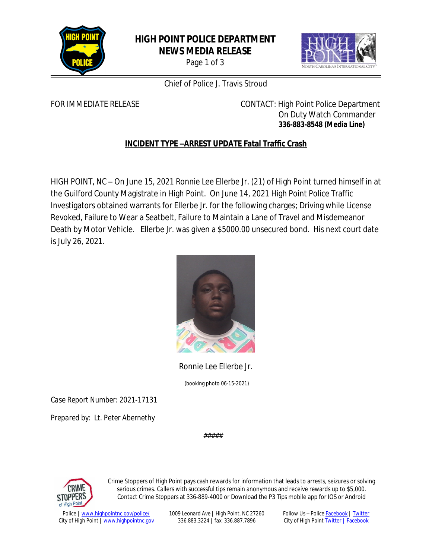

## **HIGH POINT POLICE DEPARTMENT NEWS MEDIA RELEASE**

Page 1 of 3



### Chief of Police J. Travis Stroud

FOR IMMEDIATE RELEASE **CONTACT:** High Point Police Department On Duty Watch Commander **336-883-8548 (Media Line)**

# **INCIDENT TYPE –ARREST UPDATE Fatal Traffic Crash**

HIGH POINT, NC – On June 15, 2021 Ronnie Lee Ellerbe Jr. (21) of High Point turned himself in at the Guilford County Magistrate in High Point. On June 14, 2021 High Point Police Traffic Investigators obtained warrants for Ellerbe Jr. for the following charges; Driving while License Revoked, Failure to Wear a Seatbelt, Failure to Maintain a Lane of Travel and Misdemeanor Death by Motor Vehicle. Ellerbe Jr. was given a \$5000.00 unsecured bond. His next court date is July 26, 2021.



Ronnie Lee Ellerbe Jr.

(booking photo 06-15-2021)

*Case Report Number: 2021-17131*

*Prepared by: Lt. Peter Abernethy*

#####



Crime Stoppers of High Point pays cash rewards for information that leads to arrests, seizures or solving serious crimes. Callers with successful tips remain anonymous and receive rewards up to \$5,000. Contact Crime Stoppers at 336-889-4000 or Download the P3 Tips mobile app for IOS or Android

1009 Leonard Ave | High Point, NC 27260 336.883.3224 | fax: 336.887.7896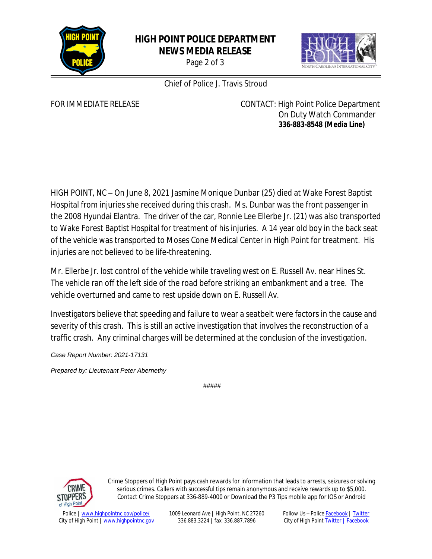

### **HIGH POINT POLICE DEPARTMENT NEWS MEDIA RELEASE**

Page 2 of 3



Chief of Police J. Travis Stroud

FOR IMMEDIATE RELEASE **CONTACT:** High Point Police Department On Duty Watch Commander **336-883-8548 (Media Line)**

HIGH POINT, NC – On June 8, 2021 Jasmine Monique Dunbar (25) died at Wake Forest Baptist Hospital from injuries she received during this crash. Ms. Dunbar was the front passenger in the 2008 Hyundai Elantra. The driver of the car, Ronnie Lee Ellerbe Jr. (21) was also transported to Wake Forest Baptist Hospital for treatment of his injuries. A 14 year old boy in the back seat of the vehicle was transported to Moses Cone Medical Center in High Point for treatment. His injuries are not believed to be life-threatening.

Mr. Ellerbe Jr. lost control of the vehicle while traveling west on E. Russell Av. near Hines St. The vehicle ran off the left side of the road before striking an embankment and a tree. The vehicle overturned and came to rest upside down on E. Russell Av.

Investigators believe that speeding and failure to wear a seatbelt were factors in the cause and severity of this crash. This is still an active investigation that involves the reconstruction of a traffic crash. Any criminal charges will be determined at the conclusion of the investigation.

*Case Report Number: 2021-17131*

*Prepared by: Lieutenant Peter Abernethy*

*#####*



Crime Stoppers of High Point pays cash rewards for information that leads to arrests, seizures or solving serious crimes. Callers with successful tips remain anonymous and receive rewards up to \$5,000. Contact Crime Stoppers at 336-889-4000 or Download the P3 Tips mobile app for IOS or Android